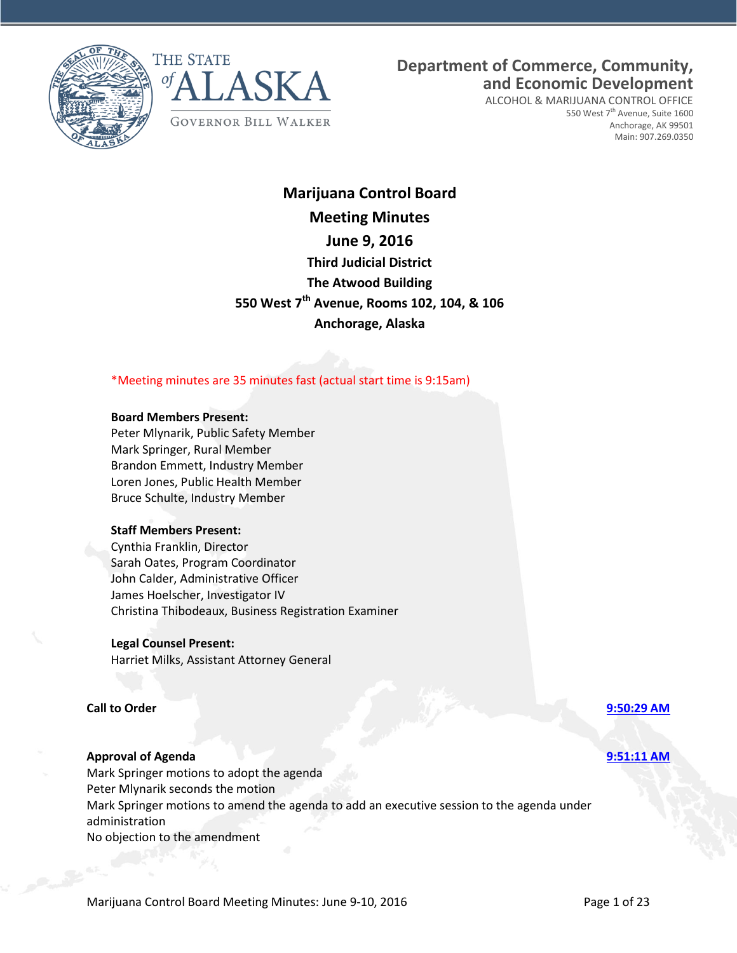



**Department of Commerce, Community, and Economic Development**

ALCOHOL & MARIJUANA CONTROL OFFICE 550 West 7<sup>th</sup> Avenue, Suite 1600 Anchorage, AK 99501 Main: 907.269.0350

## **Marijuana Control Board Meeting Minutes June 9, 2016 Third Judicial District The Atwood Building 550 West 7th Avenue, Rooms 102, 104, & 106 Anchorage, Alaska**

\*Meeting minutes are 35 minutes fast (actual start time is 9:15am)

### **Board Members Present:**

Peter Mlynarik, Public Safety Member Mark Springer, Rural Member Brandon Emmett, Industry Member Loren Jones, Public Health Member Bruce Schulte, Industry Member

### **Staff Members Present:**

Cynthia Franklin, Director Sarah Oates, Program Coordinator John Calder, Administrative Officer James Hoelscher, Investigator IV Christina Thibodeaux, Business Registration Examiner

### **Legal Counsel Present:**

Harriet Milks, Assistant Attorney General

#### **Call to Order [9:50:29 AM](ftr://?location="ABC Board"?date="09-Jun-2016"?position="09:50:29"?Data="8fd092d5")**

### **Approval of Agenda [9:51:11 AM](ftr://?location="ABC Board"?date="09-Jun-2016"?position="09:51:11"?Data="2332a3aa")**

Mark Springer motions to adopt the agenda Peter Mlynarik seconds the motion Mark Springer motions to amend the agenda to add an executive session to the agenda under administration No objection to the amendment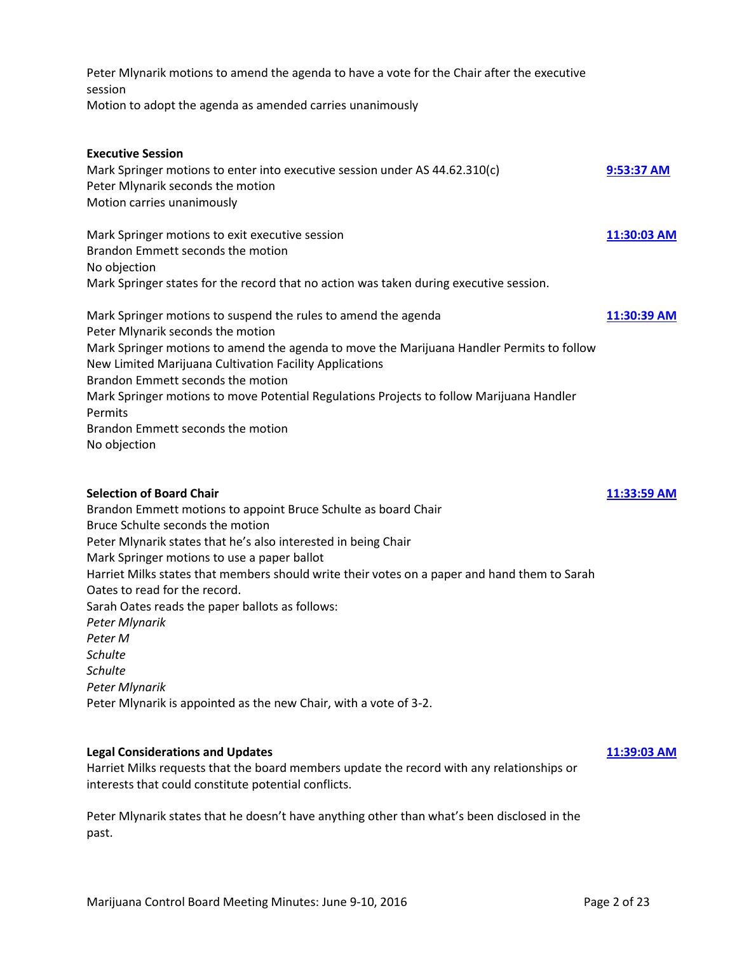| Peter Mlynarik motions to amend the agenda to have a vote for the Chair after the executive<br>session                                                                                                                                                                                                                                                                                                                                                                                                                                                                                             |             |
|----------------------------------------------------------------------------------------------------------------------------------------------------------------------------------------------------------------------------------------------------------------------------------------------------------------------------------------------------------------------------------------------------------------------------------------------------------------------------------------------------------------------------------------------------------------------------------------------------|-------------|
| Motion to adopt the agenda as amended carries unanimously                                                                                                                                                                                                                                                                                                                                                                                                                                                                                                                                          |             |
| <b>Executive Session</b><br>Mark Springer motions to enter into executive session under AS 44.62.310(c)<br>Peter Mlynarik seconds the motion<br>Motion carries unanimously                                                                                                                                                                                                                                                                                                                                                                                                                         | 9:53:37 AM  |
| Mark Springer motions to exit executive session<br>Brandon Emmett seconds the motion<br>No objection<br>Mark Springer states for the record that no action was taken during executive session.                                                                                                                                                                                                                                                                                                                                                                                                     | 11:30:03 AM |
| Mark Springer motions to suspend the rules to amend the agenda<br>Peter Mlynarik seconds the motion<br>Mark Springer motions to amend the agenda to move the Marijuana Handler Permits to follow<br>New Limited Marijuana Cultivation Facility Applications<br>Brandon Emmett seconds the motion<br>Mark Springer motions to move Potential Regulations Projects to follow Marijuana Handler<br>Permits<br>Brandon Emmett seconds the motion<br>No objection                                                                                                                                       | 11:30:39 AM |
| <b>Selection of Board Chair</b><br>Brandon Emmett motions to appoint Bruce Schulte as board Chair<br>Bruce Schulte seconds the motion<br>Peter Mlynarik states that he's also interested in being Chair<br>Mark Springer motions to use a paper ballot<br>Harriet Milks states that members should write their votes on a paper and hand them to Sarah<br>Oates to read for the record.<br>Sarah Oates reads the paper ballots as follows:<br>Peter Mlynarik<br>Peter M<br><b>Schulte</b><br><b>Schulte</b><br>Peter Mlynarik<br>Peter Mlynarik is appointed as the new Chair, with a vote of 3-2. | 11:33:59 AM |
| <b>Legal Considerations and Updates</b><br>Harriet Milks requests that the board members update the record with any relationships or<br>interests that could constitute potential conflicts.                                                                                                                                                                                                                                                                                                                                                                                                       | 11:39:03 AM |

Peter Mlynarik states that he doesn't have anything other than what's been disclosed in the past.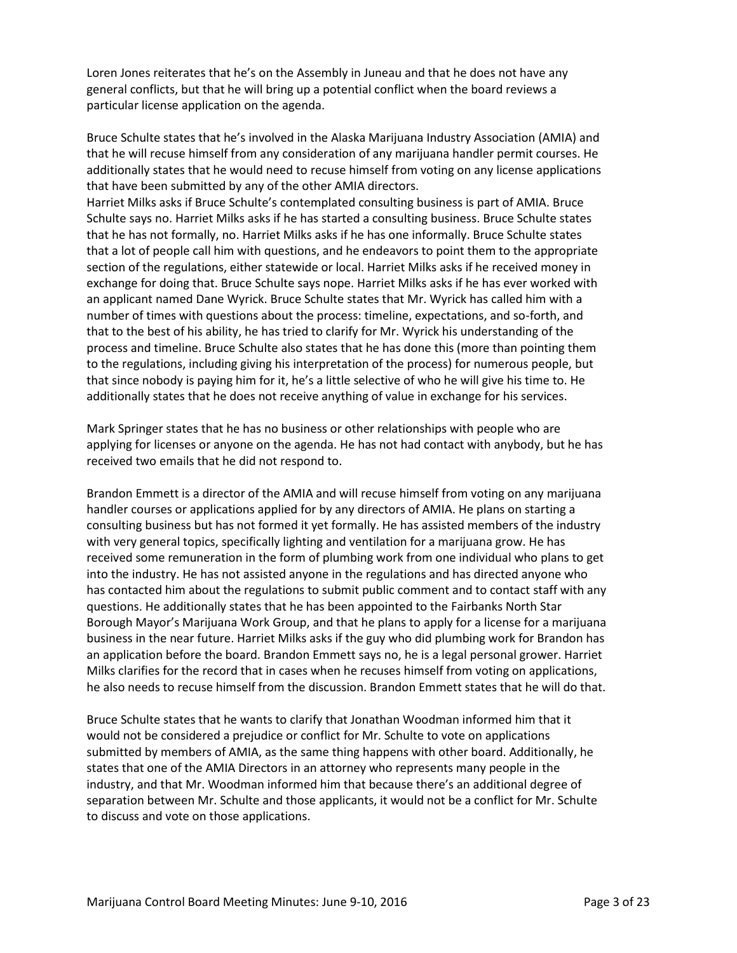Loren Jones reiterates that he's on the Assembly in Juneau and that he does not have any general conflicts, but that he will bring up a potential conflict when the board reviews a particular license application on the agenda.

Bruce Schulte states that he's involved in the Alaska Marijuana Industry Association (AMIA) and that he will recuse himself from any consideration of any marijuana handler permit courses. He additionally states that he would need to recuse himself from voting on any license applications that have been submitted by any of the other AMIA directors.

Harriet Milks asks if Bruce Schulte's contemplated consulting business is part of AMIA. Bruce Schulte says no. Harriet Milks asks if he has started a consulting business. Bruce Schulte states that he has not formally, no. Harriet Milks asks if he has one informally. Bruce Schulte states that a lot of people call him with questions, and he endeavors to point them to the appropriate section of the regulations, either statewide or local. Harriet Milks asks if he received money in exchange for doing that. Bruce Schulte says nope. Harriet Milks asks if he has ever worked with an applicant named Dane Wyrick. Bruce Schulte states that Mr. Wyrick has called him with a number of times with questions about the process: timeline, expectations, and so-forth, and that to the best of his ability, he has tried to clarify for Mr. Wyrick his understanding of the process and timeline. Bruce Schulte also states that he has done this (more than pointing them to the regulations, including giving his interpretation of the process) for numerous people, but that since nobody is paying him for it, he's a little selective of who he will give his time to. He additionally states that he does not receive anything of value in exchange for his services.

Mark Springer states that he has no business or other relationships with people who are applying for licenses or anyone on the agenda. He has not had contact with anybody, but he has received two emails that he did not respond to.

Brandon Emmett is a director of the AMIA and will recuse himself from voting on any marijuana handler courses or applications applied for by any directors of AMIA. He plans on starting a consulting business but has not formed it yet formally. He has assisted members of the industry with very general topics, specifically lighting and ventilation for a marijuana grow. He has received some remuneration in the form of plumbing work from one individual who plans to get into the industry. He has not assisted anyone in the regulations and has directed anyone who has contacted him about the regulations to submit public comment and to contact staff with any questions. He additionally states that he has been appointed to the Fairbanks North Star Borough Mayor's Marijuana Work Group, and that he plans to apply for a license for a marijuana business in the near future. Harriet Milks asks if the guy who did plumbing work for Brandon has an application before the board. Brandon Emmett says no, he is a legal personal grower. Harriet Milks clarifies for the record that in cases when he recuses himself from voting on applications, he also needs to recuse himself from the discussion. Brandon Emmett states that he will do that.

Bruce Schulte states that he wants to clarify that Jonathan Woodman informed him that it would not be considered a prejudice or conflict for Mr. Schulte to vote on applications submitted by members of AMIA, as the same thing happens with other board. Additionally, he states that one of the AMIA Directors in an attorney who represents many people in the industry, and that Mr. Woodman informed him that because there's an additional degree of separation between Mr. Schulte and those applicants, it would not be a conflict for Mr. Schulte to discuss and vote on those applications.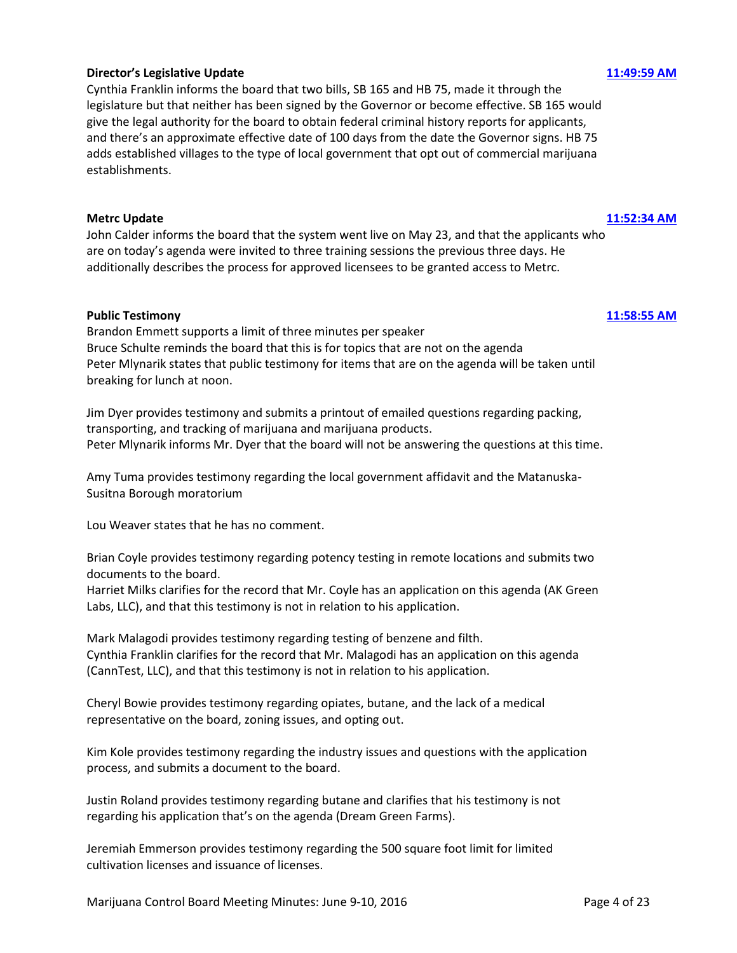### **Director's Legislative Update [11:49:59 AM](ftr://?location="ABC Board"?date="09-Jun-2016"?position="11:49:59"?Data="6924ec66")**

Cynthia Franklin informs the board that two bills, SB 165 and HB 75, made it through the legislature but that neither has been signed by the Governor or become effective. SB 165 would give the legal authority for the board to obtain federal criminal history reports for applicants, and there's an approximate effective date of 100 days from the date the Governor signs. HB 75 adds established villages to the type of local government that opt out of commercial marijuana establishments.

### **Metrc Update [11:52:34 AM](ftr://?location="ABC Board"?date="09-Jun-2016"?position="11:52:34"?Data="2e52603e")**

John Calder informs the board that the system went live on May 23, and that the applicants who are on today's agenda were invited to three training sessions the previous three days. He additionally describes the process for approved licensees to be granted access to Metrc.

### **Public Testimony [11:58:55 AM](ftr://?location="ABC Board"?date="09-Jun-2016"?position="11:58:55"?Data="5795748f")**

Brandon Emmett supports a limit of three minutes per speaker Bruce Schulte reminds the board that this is for topics that are not on the agenda Peter Mlynarik states that public testimony for items that are on the agenda will be taken until breaking for lunch at noon.

Jim Dyer provides testimony and submits a printout of emailed questions regarding packing, transporting, and tracking of marijuana and marijuana products. Peter Mlynarik informs Mr. Dyer that the board will not be answering the questions at this time.

Amy Tuma provides testimony regarding the local government affidavit and the Matanuska-Susitna Borough moratorium

Lou Weaver states that he has no comment.

Brian Coyle provides testimony regarding potency testing in remote locations and submits two documents to the board.

Harriet Milks clarifies for the record that Mr. Coyle has an application on this agenda (AK Green Labs, LLC), and that this testimony is not in relation to his application.

Mark Malagodi provides testimony regarding testing of benzene and filth. Cynthia Franklin clarifies for the record that Mr. Malagodi has an application on this agenda (CannTest, LLC), and that this testimony is not in relation to his application.

Cheryl Bowie provides testimony regarding opiates, butane, and the lack of a medical representative on the board, zoning issues, and opting out.

Kim Kole provides testimony regarding the industry issues and questions with the application process, and submits a document to the board.

Justin Roland provides testimony regarding butane and clarifies that his testimony is not regarding his application that's on the agenda (Dream Green Farms).

Jeremiah Emmerson provides testimony regarding the 500 square foot limit for limited cultivation licenses and issuance of licenses.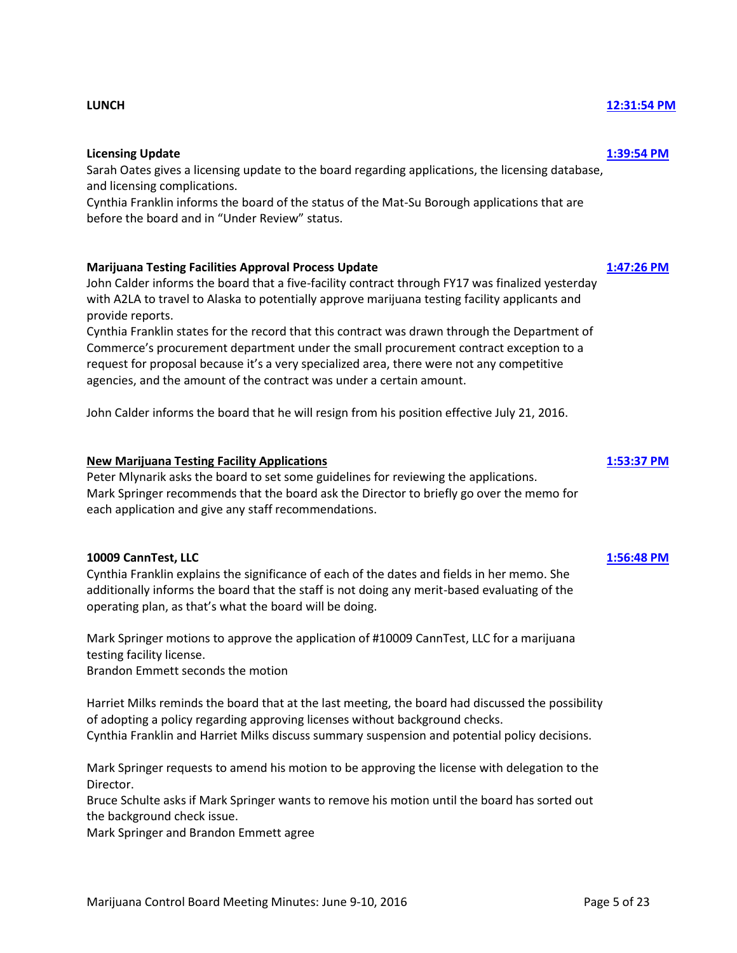### **Licensing Update [1:39:54 PM](ftr://?location="ABC Board"?date="09-Jun-2016"?position="13:39:54"?Data="6876f857")**

Sarah Oates gives a licensing update to the board regarding applications, the licensing database, and licensing complications.

Cynthia Franklin informs the board of the status of the Mat-Su Borough applications that are before the board and in "Under Review" status.

### **Marijuana Testing Facilities Approval Process Update [1:47:26 PM](ftr://?location="ABC Board"?date="09-Jun-2016"?position="13:47:26"?Data="b52bd958")**

John Calder informs the board that a five-facility contract through FY17 was finalized yesterday with A2LA to travel to Alaska to potentially approve marijuana testing facility applicants and provide reports.

Cynthia Franklin states for the record that this contract was drawn through the Department of Commerce's procurement department under the small procurement contract exception to a request for proposal because it's a very specialized area, there were not any competitive agencies, and the amount of the contract was under a certain amount.

John Calder informs the board that he will resign from his position effective July 21, 2016.

### **New Marijuana Testing Facility Applications [1:53:37 PM](ftr://?location="ABC Board"?date="09-Jun-2016"?position="13:53:37"?Data="5485818d")**

Peter Mlynarik asks the board to set some guidelines for reviewing the applications. Mark Springer recommends that the board ask the Director to briefly go over the memo for each application and give any staff recommendations.

### **10009 CannTest, LLC [1:56:48 PM](ftr://?location="ABC Board"?date="09-Jun-2016"?position="13:56:48"?Data="f7ca6a27")**

Cynthia Franklin explains the significance of each of the dates and fields in her memo. She additionally informs the board that the staff is not doing any merit-based evaluating of the operating plan, as that's what the board will be doing.

Mark Springer motions to approve the application of #10009 CannTest, LLC for a marijuana testing facility license. Brandon Emmett seconds the motion

Harriet Milks reminds the board that at the last meeting, the board had discussed the possibility of adopting a policy regarding approving licenses without background checks. Cynthia Franklin and Harriet Milks discuss summary suspension and potential policy decisions.

Mark Springer requests to amend his motion to be approving the license with delegation to the Director.

Bruce Schulte asks if Mark Springer wants to remove his motion until the board has sorted out the background check issue.

Mark Springer and Brandon Emmett agree

## **LUNCH [12:31:54 PM](ftr://?location="ABC Board"?date="09-Jun-2016"?position="12:31:54"?Data="d5c92932")**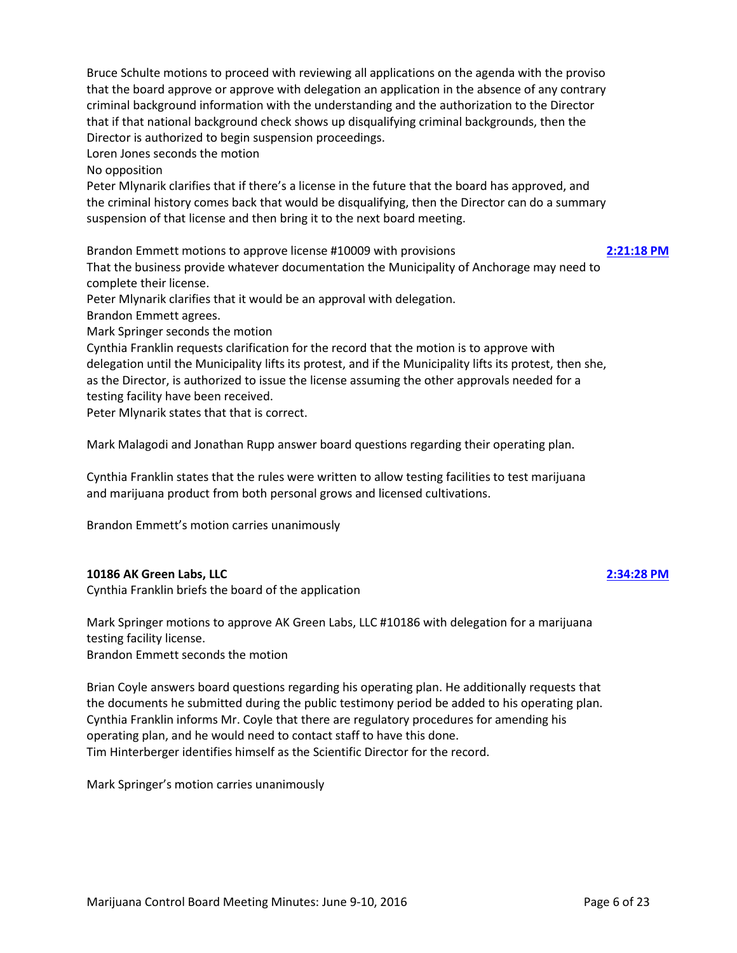Bruce Schulte motions to proceed with reviewing all applications on the agenda with the proviso that the board approve or approve with delegation an application in the absence of any contrary criminal background information with the understanding and the authorization to the Director that if that national background check shows up disqualifying criminal backgrounds, then the Director is authorized to begin suspension proceedings.

Loren Jones seconds the motion

No opposition

Peter Mlynarik clarifies that if there's a license in the future that the board has approved, and the criminal history comes back that would be disqualifying, then the Director can do a summary suspension of that license and then bring it to the next board meeting.

Brandon Emmett motions to approve license #10009 with provisions **[2:21:18 PM](ftr://?location="ABC Board"?date="09-Jun-2016"?position="14:21:18"?Data="ccbaf117")**

That the business provide whatever documentation the Municipality of Anchorage may need to complete their license.

Peter Mlynarik clarifies that it would be an approval with delegation.

Brandon Emmett agrees.

Mark Springer seconds the motion

Cynthia Franklin requests clarification for the record that the motion is to approve with delegation until the Municipality lifts its protest, and if the Municipality lifts its protest, then she, as the Director, is authorized to issue the license assuming the other approvals needed for a testing facility have been received.

Peter Mlynarik states that that is correct.

Mark Malagodi and Jonathan Rupp answer board questions regarding their operating plan.

Cynthia Franklin states that the rules were written to allow testing facilities to test marijuana and marijuana product from both personal grows and licensed cultivations.

Brandon Emmett's motion carries unanimously

### **10186 AK Green Labs, LLC [2:34:28 PM](ftr://?location="ABC Board"?date="09-Jun-2016"?position="14:34:28"?Data="37a20492")**

Cynthia Franklin briefs the board of the application

Mark Springer motions to approve AK Green Labs, LLC #10186 with delegation for a marijuana testing facility license. Brandon Emmett seconds the motion

Brian Coyle answers board questions regarding his operating plan. He additionally requests that the documents he submitted during the public testimony period be added to his operating plan. Cynthia Franklin informs Mr. Coyle that there are regulatory procedures for amending his operating plan, and he would need to contact staff to have this done. Tim Hinterberger identifies himself as the Scientific Director for the record.

Mark Springer's motion carries unanimously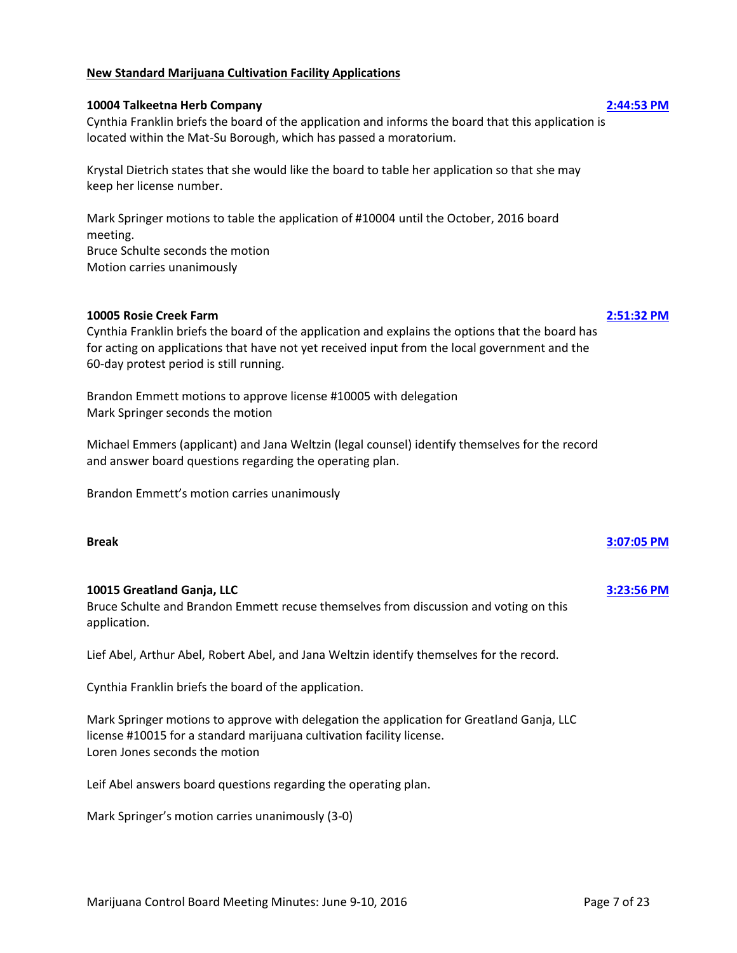### **New Standard Marijuana Cultivation Facility Applications**

### **10004 Talkeetna Herb Company [2:44:53 PM](ftr://?location="ABC Board"?date="09-Jun-2016"?position="14:44:53"?Data="893e5aa4")**

Cynthia Franklin briefs the board of the application and informs the board that this application is located within the Mat-Su Borough, which has passed a moratorium.

Krystal Dietrich states that she would like the board to table her application so that she may keep her license number.

Mark Springer motions to table the application of #10004 until the October, 2016 board meeting. Bruce Schulte seconds the motion Motion carries unanimously

### **10005 Rosie Creek Farm [2:51:32 PM](ftr://?location="ABC Board"?date="09-Jun-2016"?position="14:51:32"?Data="9a5759f7")**

Cynthia Franklin briefs the board of the application and explains the options that the board has for acting on applications that have not yet received input from the local government and the 60-day protest period is still running.

Brandon Emmett motions to approve license #10005 with delegation Mark Springer seconds the motion

Michael Emmers (applicant) and Jana Weltzin (legal counsel) identify themselves for the record and answer board questions regarding the operating plan.

Brandon Emmett's motion carries unanimously

### **Break [3:07:05 PM](ftr://?location="ABC Board"?date="09-Jun-2016"?position="15:07:05"?Data="bac18526")**

### **10015 Greatland Ganja, LLC [3:23:56 PM](ftr://?location="ABC Board"?date="09-Jun-2016"?position="15:23:56"?Data="1d69859e")**

Bruce Schulte and Brandon Emmett recuse themselves from discussion and voting on this application.

Lief Abel, Arthur Abel, Robert Abel, and Jana Weltzin identify themselves for the record.

Cynthia Franklin briefs the board of the application.

Mark Springer motions to approve with delegation the application for Greatland Ganja, LLC license #10015 for a standard marijuana cultivation facility license. Loren Jones seconds the motion

Leif Abel answers board questions regarding the operating plan.

Mark Springer's motion carries unanimously (3-0)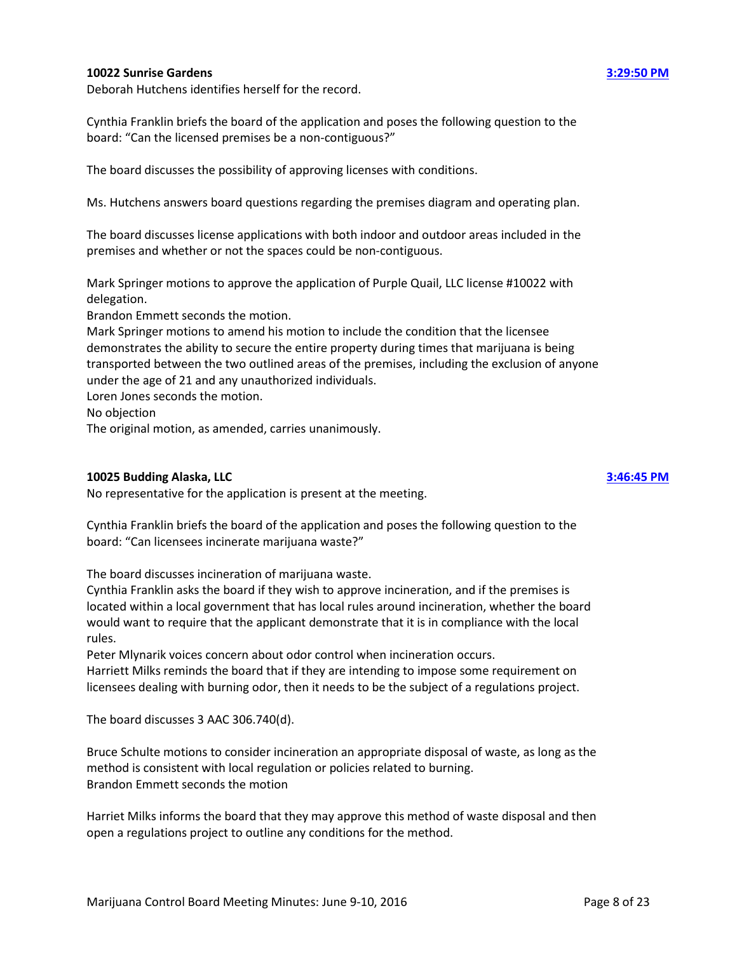### **10022 Sunrise Gardens [3:29:50 PM](ftr://?location="ABC Board"?date="09-Jun-2016"?position="15:29:50"?Data="2f204a8b")**

Deborah Hutchens identifies herself for the record.

Cynthia Franklin briefs the board of the application and poses the following question to the board: "Can the licensed premises be a non-contiguous?"

The board discusses the possibility of approving licenses with conditions.

Ms. Hutchens answers board questions regarding the premises diagram and operating plan.

The board discusses license applications with both indoor and outdoor areas included in the premises and whether or not the spaces could be non-contiguous.

Mark Springer motions to approve the application of Purple Quail, LLC license #10022 with delegation.

Brandon Emmett seconds the motion.

Mark Springer motions to amend his motion to include the condition that the licensee demonstrates the ability to secure the entire property during times that marijuana is being transported between the two outlined areas of the premises, including the exclusion of anyone under the age of 21 and any unauthorized individuals.

Loren Jones seconds the motion.

No objection

The original motion, as amended, carries unanimously.

### **10025 Budding Alaska, LLC [3:46:45 PM](ftr://?location="ABC Board"?date="09-Jun-2016"?position="15:46:45"?Data="cd949771")**

No representative for the application is present at the meeting.

Cynthia Franklin briefs the board of the application and poses the following question to the board: "Can licensees incinerate marijuana waste?"

The board discusses incineration of marijuana waste.

Cynthia Franklin asks the board if they wish to approve incineration, and if the premises is located within a local government that has local rules around incineration, whether the board would want to require that the applicant demonstrate that it is in compliance with the local rules.

Peter Mlynarik voices concern about odor control when incineration occurs.

Harriett Milks reminds the board that if they are intending to impose some requirement on licensees dealing with burning odor, then it needs to be the subject of a regulations project.

The board discusses 3 AAC 306.740(d).

Bruce Schulte motions to consider incineration an appropriate disposal of waste, as long as the method is consistent with local regulation or policies related to burning. Brandon Emmett seconds the motion

Harriet Milks informs the board that they may approve this method of waste disposal and then open a regulations project to outline any conditions for the method.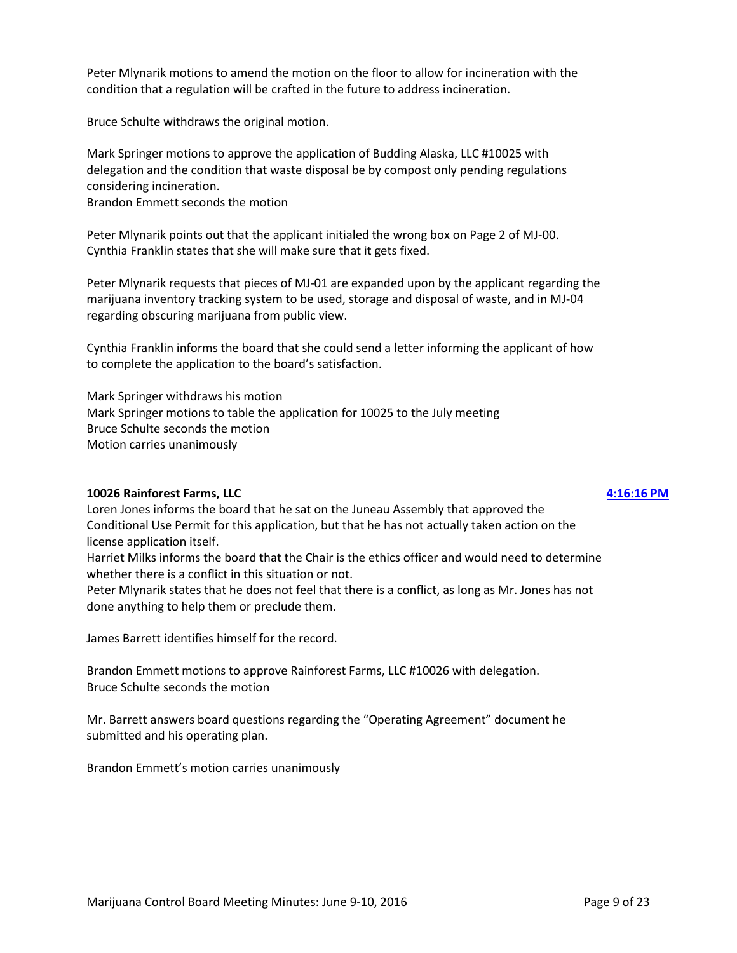Peter Mlynarik motions to amend the motion on the floor to allow for incineration with the condition that a regulation will be crafted in the future to address incineration.

Bruce Schulte withdraws the original motion.

Mark Springer motions to approve the application of Budding Alaska, LLC #10025 with delegation and the condition that waste disposal be by compost only pending regulations considering incineration.

Brandon Emmett seconds the motion

Peter Mlynarik points out that the applicant initialed the wrong box on Page 2 of MJ-00. Cynthia Franklin states that she will make sure that it gets fixed.

Peter Mlynarik requests that pieces of MJ-01 are expanded upon by the applicant regarding the marijuana inventory tracking system to be used, storage and disposal of waste, and in MJ-04 regarding obscuring marijuana from public view.

Cynthia Franklin informs the board that she could send a letter informing the applicant of how to complete the application to the board's satisfaction.

Mark Springer withdraws his motion Mark Springer motions to table the application for 10025 to the July meeting Bruce Schulte seconds the motion Motion carries unanimously

### **10026 Rainforest Farms, LLC [4:16:16 PM](ftr://?location="ABC Board"?date="09-Jun-2016"?position="16:16:16"?Data="3e876ace")**

Loren Jones informs the board that he sat on the Juneau Assembly that approved the Conditional Use Permit for this application, but that he has not actually taken action on the license application itself.

Harriet Milks informs the board that the Chair is the ethics officer and would need to determine whether there is a conflict in this situation or not.

Peter Mlynarik states that he does not feel that there is a conflict, as long as Mr. Jones has not done anything to help them or preclude them.

James Barrett identifies himself for the record.

Brandon Emmett motions to approve Rainforest Farms, LLC #10026 with delegation. Bruce Schulte seconds the motion

Mr. Barrett answers board questions regarding the "Operating Agreement" document he submitted and his operating plan.

Brandon Emmett's motion carries unanimously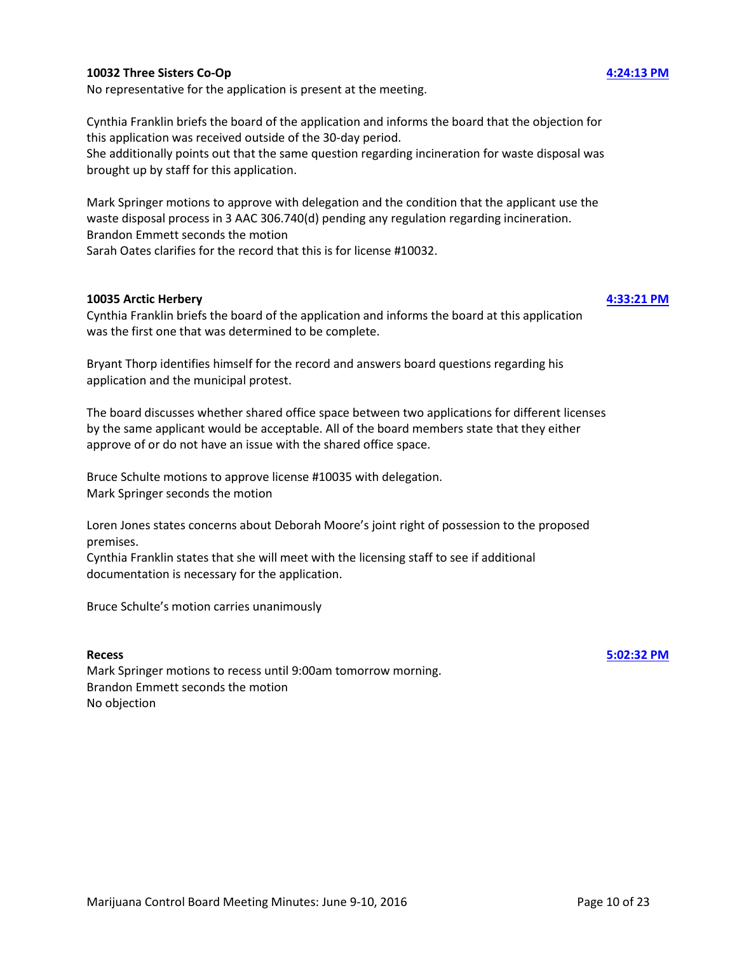### **10032 Three Sisters Co-Op [4:24:13 PM](ftr://?location="ABC Board"?date="09-Jun-2016"?position="16:24:13"?Data="7a329831")**

No representative for the application is present at the meeting.

Cynthia Franklin briefs the board of the application and informs the board that the objection for this application was received outside of the 30-day period. She additionally points out that the same question regarding incineration for waste disposal was brought up by staff for this application.

Mark Springer motions to approve with delegation and the condition that the applicant use the waste disposal process in 3 AAC 306.740(d) pending any regulation regarding incineration. Brandon Emmett seconds the motion

Sarah Oates clarifies for the record that this is for license #10032.

### **10035 Arctic Herbery [4:33:21 PM](ftr://?location="ABC Board"?date="09-Jun-2016"?position="16:33:21"?Data="2fd67502")**

Cynthia Franklin briefs the board of the application and informs the board at this application was the first one that was determined to be complete.

Bryant Thorp identifies himself for the record and answers board questions regarding his application and the municipal protest.

The board discusses whether shared office space between two applications for different licenses by the same applicant would be acceptable. All of the board members state that they either approve of or do not have an issue with the shared office space.

Bruce Schulte motions to approve license #10035 with delegation. Mark Springer seconds the motion

Loren Jones states concerns about Deborah Moore's joint right of possession to the proposed premises.

Cynthia Franklin states that she will meet with the licensing staff to see if additional documentation is necessary for the application.

Bruce Schulte's motion carries unanimously

### **Recess [5:02:32 PM](ftr://?location="ABC Board"?date="09-Jun-2016"?position="17:02:32"?Data="c00b2116")**

Mark Springer motions to recess until 9:00am tomorrow morning. Brandon Emmett seconds the motion No objection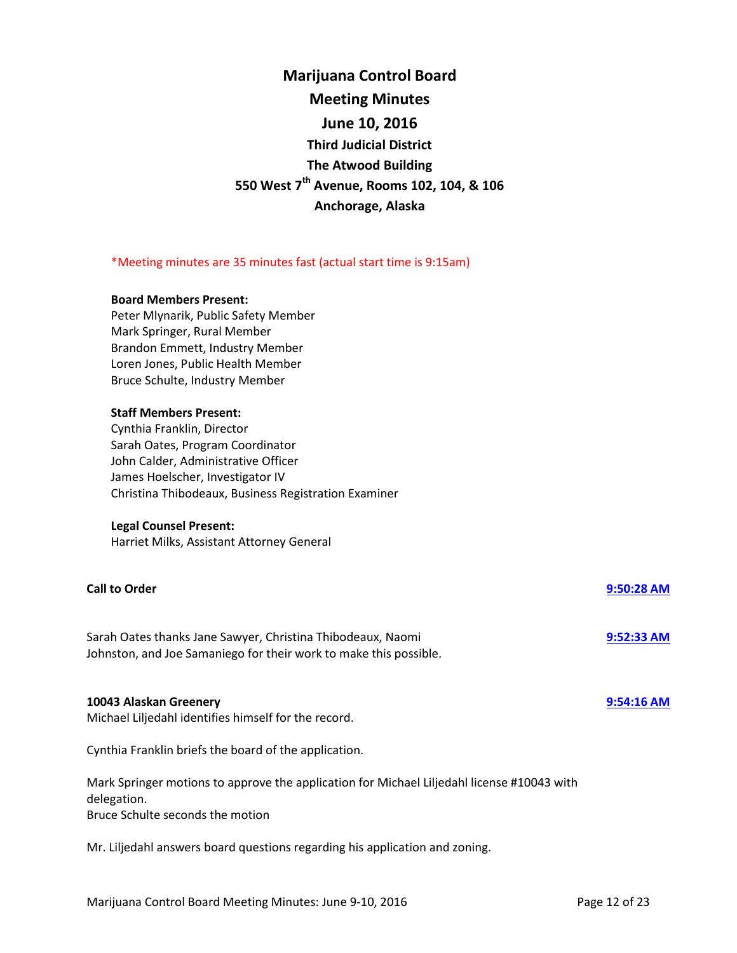| <b>Marijuana Control Board</b>                         |
|--------------------------------------------------------|
| <b>Meeting Minutes</b>                                 |
| June 10, 2016                                          |
| <b>Third Judicial District</b>                         |
| <b>The Atwood Building</b>                             |
| 550 West 7 <sup>th</sup> Avenue, Rooms 102, 104, & 106 |
| Anchorage, Alaska                                      |

#### \*Meeting minutes are 35 minutes fast (actual start time is 9:15am)

#### **Board Members Present:**

Peter Mlynarik, Public Safety Member Mark Springer, Rural Member Brandon Emmett, Industry Member Loren Jones, Public Health Member Bruce Schulte, Industry Member

#### **Staff Members Present:**

Cynthia Franklin, Director Sarah Oates, Program Coordinator John Calder, Administrative Officer James Hoelscher, Investigator IV Christina Thibodeaux, Business Registration Examiner

#### **Legal Counsel Present:**

Harriet Milks, Assistant Attorney General

#### **Call to Order [9:50:28 AM](ftr://?location="ABC Board"?date="10-Jun-2016"?position="09:50:28"?Data="beca2812")**

Sarah Oates thanks Jane Sawyer, Christina Thibodeaux, Naomi **[9:52:33 AM](ftr://?location="ABC Board"?date="10-Jun-2016"?position="09:52:33"?Data="a662ac8b")** Johnston, and Joe Samaniego for their work to make this possible.

#### **10043 Alaskan Greenery [9:54:16 AM](ftr://?location="ABC Board"?date="10-Jun-2016"?position="09:54:16"?Data="d16a8df5")**

Michael Liljedahl identifies himself for the record.

Cynthia Franklin briefs the board of the application.

Mark Springer motions to approve the application for Michael Liljedahl license #10043 with delegation.

Bruce Schulte seconds the motion

Mr. Liljedahl answers board questions regarding his application and zoning.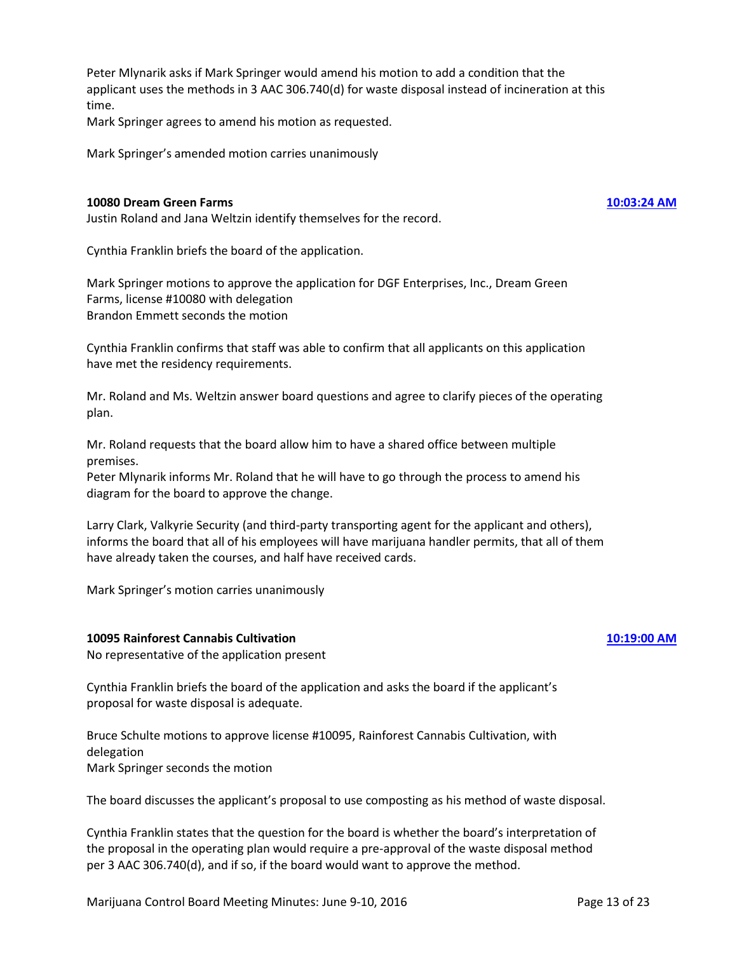Peter Mlynarik asks if Mark Springer would amend his motion to add a condition that the applicant uses the methods in 3 AAC 306.740(d) for waste disposal instead of incineration at this time.

Mark Springer agrees to amend his motion as requested.

Mark Springer's amended motion carries unanimously

#### **10080 Dream Green Farms [10:03:24 AM](ftr://?location="ABC Board"?date="10-Jun-2016"?position="10:03:24"?Data="b5a1e386")**

Justin Roland and Jana Weltzin identify themselves for the record.

Cynthia Franklin briefs the board of the application.

Mark Springer motions to approve the application for DGF Enterprises, Inc., Dream Green Farms, license #10080 with delegation Brandon Emmett seconds the motion

Cynthia Franklin confirms that staff was able to confirm that all applicants on this application have met the residency requirements.

Mr. Roland and Ms. Weltzin answer board questions and agree to clarify pieces of the operating plan.

Mr. Roland requests that the board allow him to have a shared office between multiple premises.

Peter Mlynarik informs Mr. Roland that he will have to go through the process to amend his diagram for the board to approve the change.

Larry Clark, Valkyrie Security (and third-party transporting agent for the applicant and others), informs the board that all of his employees will have marijuana handler permits, that all of them have already taken the courses, and half have received cards.

Mark Springer's motion carries unanimously

### **10095 Rainforest Cannabis Cultivation [10:19:00 AM](ftr://?location="ABC Board"?date="10-Jun-2016"?position="10:19:00"?Data="fb8c097c")**

No representative of the application present

Cynthia Franklin briefs the board of the application and asks the board if the applicant's proposal for waste disposal is adequate.

Bruce Schulte motions to approve license #10095, Rainforest Cannabis Cultivation, with delegation Mark Springer seconds the motion

The board discusses the applicant's proposal to use composting as his method of waste disposal.

Cynthia Franklin states that the question for the board is whether the board's interpretation of the proposal in the operating plan would require a pre-approval of the waste disposal method per 3 AAC 306.740(d), and if so, if the board would want to approve the method.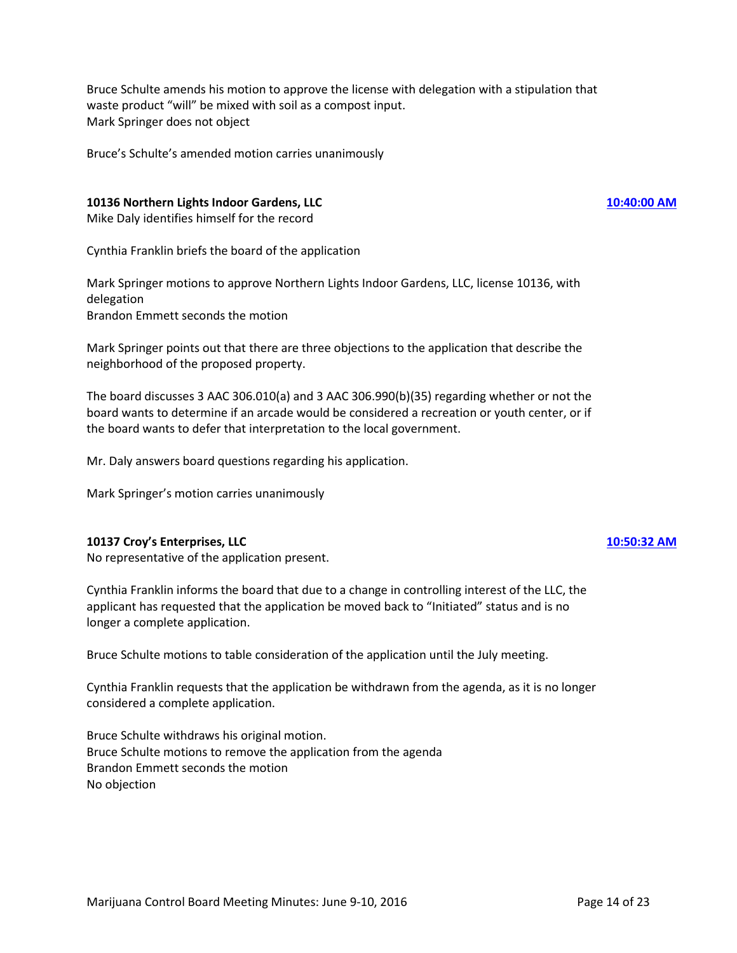Bruce Schulte amends his motion to approve the license with delegation with a stipulation that waste product "will" be mixed with soil as a compost input. Mark Springer does not object

Bruce's Schulte's amended motion carries unanimously

### **10136 Northern Lights Indoor Gardens, LLC [10:40:00 AM](ftr://?location="ABC Board"?date="10-Jun-2016"?position="10:40:00"?Data="9f3a55a6")**

Mike Daly identifies himself for the record

Cynthia Franklin briefs the board of the application

Mark Springer motions to approve Northern Lights Indoor Gardens, LLC, license 10136, with delegation Brandon Emmett seconds the motion

Mark Springer points out that there are three objections to the application that describe the neighborhood of the proposed property.

The board discusses 3 AAC 306.010(a) and 3 AAC 306.990(b)(35) regarding whether or not the board wants to determine if an arcade would be considered a recreation or youth center, or if the board wants to defer that interpretation to the local government.

Mr. Daly answers board questions regarding his application.

Mark Springer's motion carries unanimously

### **10137 Croy's Enterprises, LLC [10:50:32 AM](ftr://?location="ABC Board"?date="10-Jun-2016"?position="10:50:32"?Data="2802a3ec")**

No representative of the application present.

Cynthia Franklin informs the board that due to a change in controlling interest of the LLC, the applicant has requested that the application be moved back to "Initiated" status and is no longer a complete application.

Bruce Schulte motions to table consideration of the application until the July meeting.

Cynthia Franklin requests that the application be withdrawn from the agenda, as it is no longer considered a complete application.

Bruce Schulte withdraws his original motion. Bruce Schulte motions to remove the application from the agenda Brandon Emmett seconds the motion No objection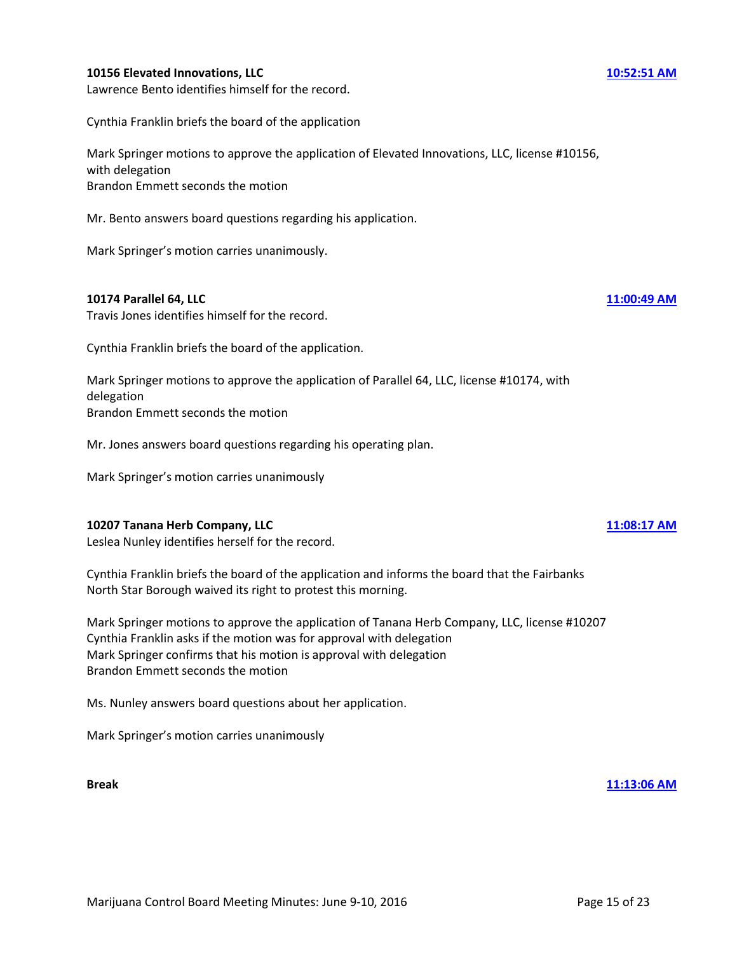### **10156 Elevated Innovations, LLC [10:52:51 AM](ftr://?location="ABC Board"?date="10-Jun-2016"?position="10:52:51"?Data="e81b3f22")**

Lawrence Bento identifies himself for the record.

Cynthia Franklin briefs the board of the application

Mark Springer motions to approve the application of Elevated Innovations, LLC, license #10156, with delegation Brandon Emmett seconds the motion

Mr. Bento answers board questions regarding his application.

Mark Springer's motion carries unanimously.

#### **10174 Parallel 64, LLC [11:00:49 AM](ftr://?location="ABC Board"?date="10-Jun-2016"?position="11:00:49"?Data="d4cdf2d4")**

Travis Jones identifies himself for the record.

Cynthia Franklin briefs the board of the application.

Mark Springer motions to approve the application of Parallel 64, LLC, license #10174, with delegation Brandon Emmett seconds the motion

Mr. Jones answers board questions regarding his operating plan.

Mark Springer's motion carries unanimously

### **10207 Tanana Herb Company, LLC [11:08:17 AM](ftr://?location="ABC Board"?date="10-Jun-2016"?position="11:08:17"?Data="770854a0")**

Leslea Nunley identifies herself for the record.

Cynthia Franklin briefs the board of the application and informs the board that the Fairbanks North Star Borough waived its right to protest this morning.

Mark Springer motions to approve the application of Tanana Herb Company, LLC, license #10207 Cynthia Franklin asks if the motion was for approval with delegation Mark Springer confirms that his motion is approval with delegation Brandon Emmett seconds the motion

Ms. Nunley answers board questions about her application.

Mark Springer's motion carries unanimously

**Break [11:13:06 AM](ftr://?location="ABC Board"?date="10-Jun-2016"?position="11:13:06"?Data="67ad57f8")**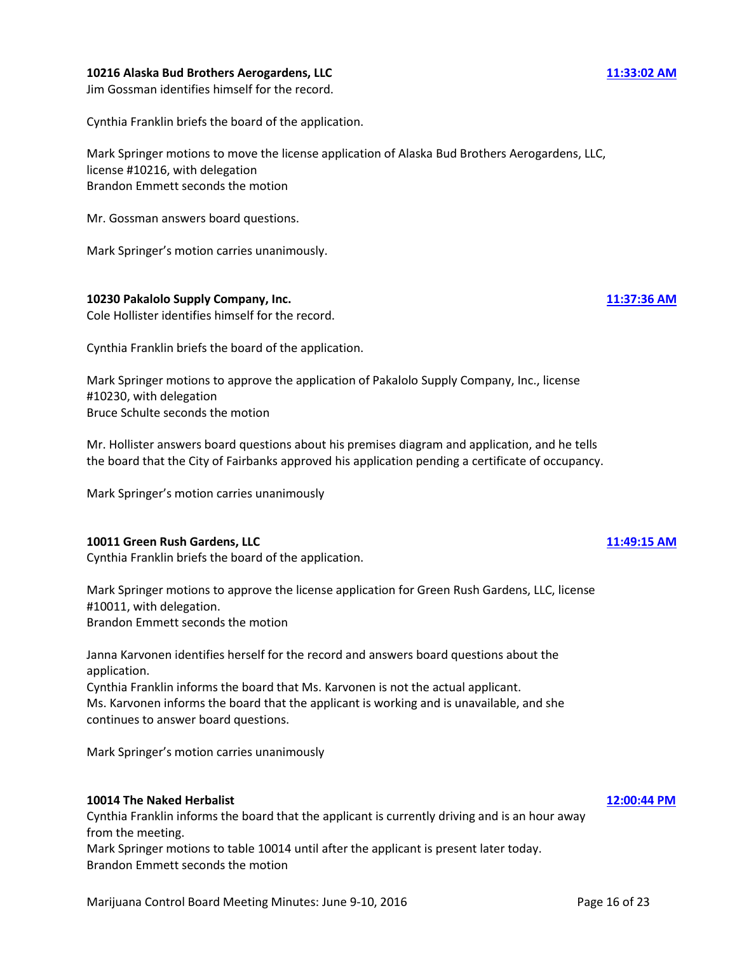### **10216 Alaska Bud Brothers Aerogardens, LLC [11:33:02 AM](ftr://?location="ABC Board"?date="10-Jun-2016"?position="11:33:02"?Data="04f45e30")**

Jim Gossman identifies himself for the record.

Cynthia Franklin briefs the board of the application.

Mark Springer motions to move the license application of Alaska Bud Brothers Aerogardens, LLC, license #10216, with delegation Brandon Emmett seconds the motion

Mr. Gossman answers board questions.

Mark Springer's motion carries unanimously.

**10230 Pakalolo Supply Company, Inc. [11:37:36 AM](ftr://?location="ABC Board"?date="10-Jun-2016"?position="11:37:36"?Data="04e91bb3")**  Cole Hollister identifies himself for the record.

Cynthia Franklin briefs the board of the application.

Mark Springer motions to approve the application of Pakalolo Supply Company, Inc., license #10230, with delegation Bruce Schulte seconds the motion

Mr. Hollister answers board questions about his premises diagram and application, and he tells the board that the City of Fairbanks approved his application pending a certificate of occupancy.

Mark Springer's motion carries unanimously

### **10011 Green Rush Gardens, LLC [11:49:15 AM](ftr://?location="ABC Board"?date="10-Jun-2016"?position="11:49:15"?Data="31c5cc6a")**

Cynthia Franklin briefs the board of the application.

Mark Springer motions to approve the license application for Green Rush Gardens, LLC, license #10011, with delegation. Brandon Emmett seconds the motion

Janna Karvonen identifies herself for the record and answers board questions about the application.

Cynthia Franklin informs the board that Ms. Karvonen is not the actual applicant. Ms. Karvonen informs the board that the applicant is working and is unavailable, and she continues to answer board questions.

Mark Springer's motion carries unanimously

### **10014 The Naked Herbalist [12:00:44 PM](ftr://?location="ABC Board"?date="10-Jun-2016"?position="12:00:44"?Data="0f6f9efb")**

Cynthia Franklin informs the board that the applicant is currently driving and is an hour away from the meeting. Mark Springer motions to table 10014 until after the applicant is present later today.

Brandon Emmett seconds the motion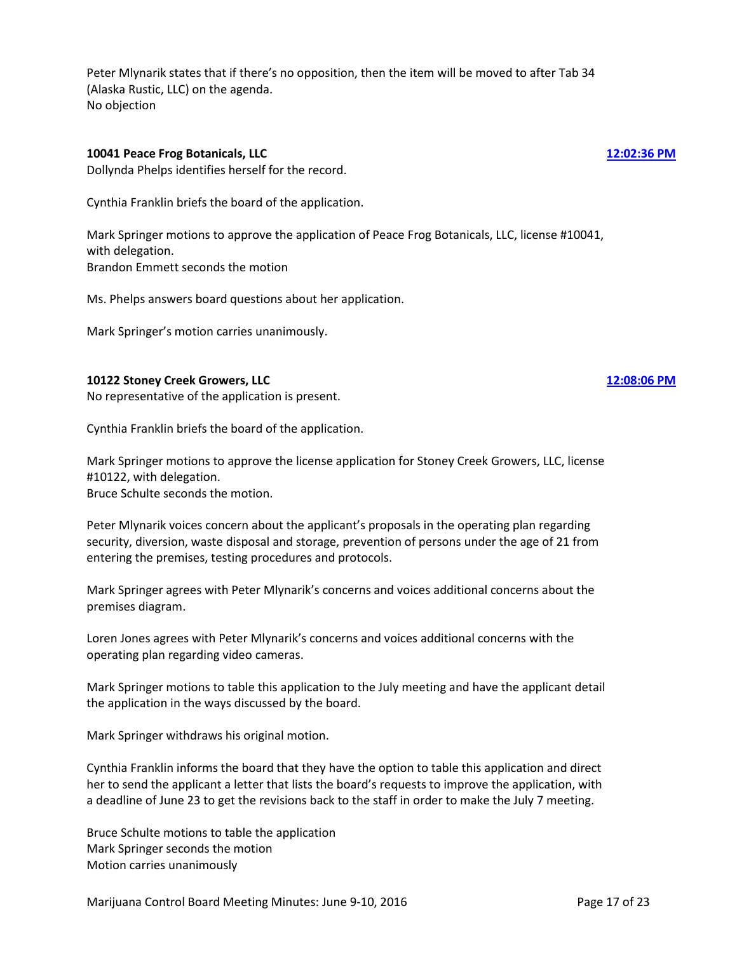Peter Mlynarik states that if there's no opposition, then the item will be moved to after Tab 34 (Alaska Rustic, LLC) on the agenda. No objection

### **10041 Peace Frog Botanicals, LLC [12:02:36 PM](ftr://?location="ABC Board"?date="10-Jun-2016"?position="12:02:36"?Data="bc96b6f5")**

Dollynda Phelps identifies herself for the record.

Cynthia Franklin briefs the board of the application.

Mark Springer motions to approve the application of Peace Frog Botanicals, LLC, license #10041, with delegation. Brandon Emmett seconds the motion

Ms. Phelps answers board questions about her application.

Mark Springer's motion carries unanimously.

### **10122 Stoney Creek Growers, LLC [12:08:06 PM](ftr://?location="ABC Board"?date="10-Jun-2016"?position="12:08:06"?Data="2d205492")**

No representative of the application is present.

Cynthia Franklin briefs the board of the application.

Mark Springer motions to approve the license application for Stoney Creek Growers, LLC, license #10122, with delegation.

Bruce Schulte seconds the motion.

Peter Mlynarik voices concern about the applicant's proposals in the operating plan regarding security, diversion, waste disposal and storage, prevention of persons under the age of 21 from entering the premises, testing procedures and protocols.

Mark Springer agrees with Peter Mlynarik's concerns and voices additional concerns about the premises diagram.

Loren Jones agrees with Peter Mlynarik's concerns and voices additional concerns with the operating plan regarding video cameras.

Mark Springer motions to table this application to the July meeting and have the applicant detail the application in the ways discussed by the board.

Mark Springer withdraws his original motion.

Cynthia Franklin informs the board that they have the option to table this application and direct her to send the applicant a letter that lists the board's requests to improve the application, with a deadline of June 23 to get the revisions back to the staff in order to make the July 7 meeting.

Bruce Schulte motions to table the application Mark Springer seconds the motion Motion carries unanimously

Marijuana Control Board Meeting Minutes: June 9-10, 2016 **Page 17 of 23**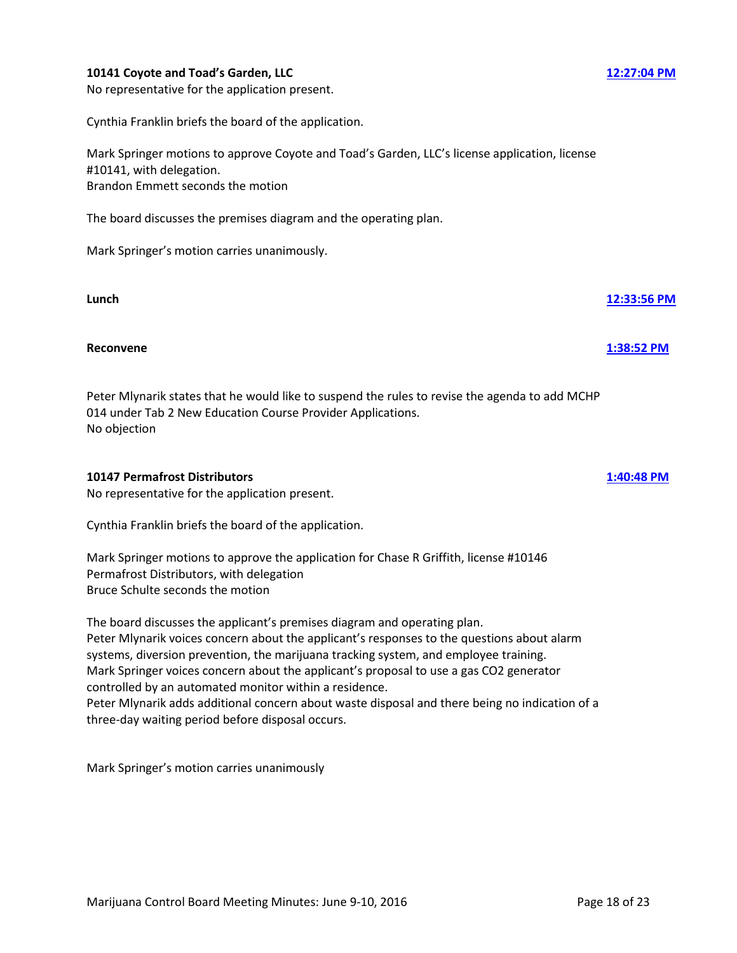### **10141 Coyote and Toad's Garden, LLC [12:27:04 PM](ftr://?location="ABC Board"?date="10-Jun-2016"?position="12:27:04"?Data="9a19590b")**

No representative for the application present.

Cynthia Franklin briefs the board of the application.

Mark Springer motions to approve Coyote and Toad's Garden, LLC's license application, license #10141, with delegation. Brandon Emmett seconds the motion

The board discusses the premises diagram and the operating plan.

Mark Springer's motion carries unanimously.

### **Lunch [12:33:56 PM](ftr://?location="ABC Board"?date="10-Jun-2016"?position="12:33:56"?Data="f293ec26")**

### **Reconvene [1:38:52 PM](ftr://?location="ABC Board"?date="10-Jun-2016"?position="13:38:52"?Data="2b791117")**

Peter Mlynarik states that he would like to suspend the rules to revise the agenda to add MCHP 014 under Tab 2 New Education Course Provider Applications. No objection

### **10147 Permafrost Distributors [1:40:48 PM](ftr://?location="ABC Board"?date="10-Jun-2016"?position="13:40:48"?Data="e8d78bad")**

No representative for the application present.

Cynthia Franklin briefs the board of the application.

Mark Springer motions to approve the application for Chase R Griffith, license #10146 Permafrost Distributors, with delegation Bruce Schulte seconds the motion

The board discusses the applicant's premises diagram and operating plan. Peter Mlynarik voices concern about the applicant's responses to the questions about alarm systems, diversion prevention, the marijuana tracking system, and employee training. Mark Springer voices concern about the applicant's proposal to use a gas CO2 generator controlled by an automated monitor within a residence. Peter Mlynarik adds additional concern about waste disposal and there being no indication of a three-day waiting period before disposal occurs.

Mark Springer's motion carries unanimously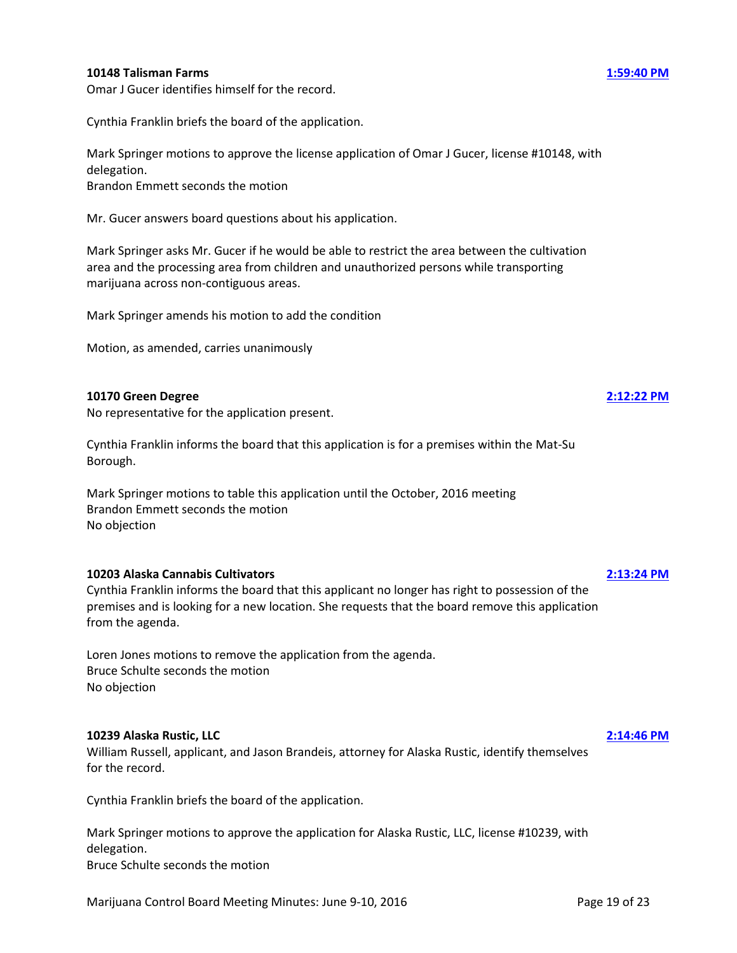#### **10148 Talisman Farms [1:59:40 PM](ftr://?location="ABC Board"?date="10-Jun-2016"?position="13:59:40"?Data="4ad3c4e7")**

Cynthia Franklin briefs the board of the application.

Mark Springer motions to approve the license application of Omar J Gucer, license #10148, with delegation. Brandon Emmett seconds the motion

Mr. Gucer answers board questions about his application.

Mark Springer asks Mr. Gucer if he would be able to restrict the area between the cultivation area and the processing area from children and unauthorized persons while transporting marijuana across non-contiguous areas.

Mark Springer amends his motion to add the condition

Motion, as amended, carries unanimously

#### **10170 Green Degree [2:12:22 PM](ftr://?location="ABC Board"?date="10-Jun-2016"?position="14:12:22"?Data="309cd78c")**

No representative for the application present.

Cynthia Franklin informs the board that this application is for a premises within the Mat-Su Borough.

Mark Springer motions to table this application until the October, 2016 meeting Brandon Emmett seconds the motion No objection

#### **10203 Alaska Cannabis Cultivators [2:13:24 PM](ftr://?location="ABC Board"?date="10-Jun-2016"?position="14:13:24"?Data="fa35e36e")**

Cynthia Franklin informs the board that this applicant no longer has right to possession of the premises and is looking for a new location. She requests that the board remove this application from the agenda.

Loren Jones motions to remove the application from the agenda. Bruce Schulte seconds the motion No objection

#### **10239 Alaska Rustic, LLC [2:14:46 PM](ftr://?location="ABC Board"?date="10-Jun-2016"?position="14:14:46"?Data="64b9d381")**

William Russell, applicant, and Jason Brandeis, attorney for Alaska Rustic, identify themselves for the record.

Cynthia Franklin briefs the board of the application.

Mark Springer motions to approve the application for Alaska Rustic, LLC, license #10239, with delegation. Bruce Schulte seconds the motion

Marijuana Control Board Meeting Minutes: June 9-10, 2016 **Page 19 of 23** Page 19 of 23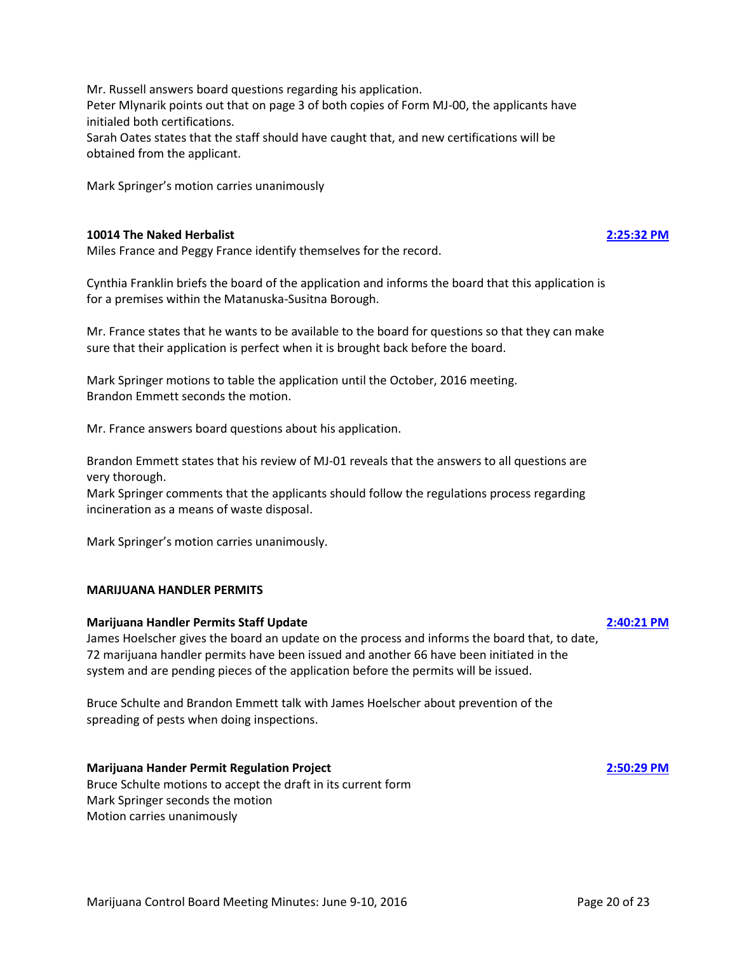**10014 The Naked Herbalist [2:25:32 PM](ftr://?location="ABC Board"?date="10-Jun-2016"?position="14:25:32"?Data="6e82cda0")** Miles France and Peggy France identify themselves for the record.

Peter Mlynarik points out that on page 3 of both copies of Form MJ-00, the applicants have

Sarah Oates states that the staff should have caught that, and new certifications will be

Cynthia Franklin briefs the board of the application and informs the board that this application is for a premises within the Matanuska-Susitna Borough.

Mr. France states that he wants to be available to the board for questions so that they can make sure that their application is perfect when it is brought back before the board.

Mark Springer motions to table the application until the October, 2016 meeting. Brandon Emmett seconds the motion.

Mr. France answers board questions about his application.

Mr. Russell answers board questions regarding his application.

initialed both certifications.

obtained from the applicant.

Mark Springer's motion carries unanimously

Brandon Emmett states that his review of MJ-01 reveals that the answers to all questions are very thorough.

Mark Springer comments that the applicants should follow the regulations process regarding incineration as a means of waste disposal.

Mark Springer's motion carries unanimously.

#### **MARIJUANA HANDLER PERMITS**

#### **Marijuana Handler Permits Staff Update [2:40:21 PM](ftr://?location="ABC Board"?date="10-Jun-2016"?position="14:40:21"?Data="be7fdf4f")**

James Hoelscher gives the board an update on the process and informs the board that, to date, 72 marijuana handler permits have been issued and another 66 have been initiated in the system and are pending pieces of the application before the permits will be issued.

Bruce Schulte and Brandon Emmett talk with James Hoelscher about prevention of the spreading of pests when doing inspections.

#### **Marijuana Hander Permit Regulation Project [2:50:29 PM](ftr://?location="ABC Board"?date="10-Jun-2016"?position="14:50:29"?Data="e06ebbcf")**

Bruce Schulte motions to accept the draft in its current form Mark Springer seconds the motion Motion carries unanimously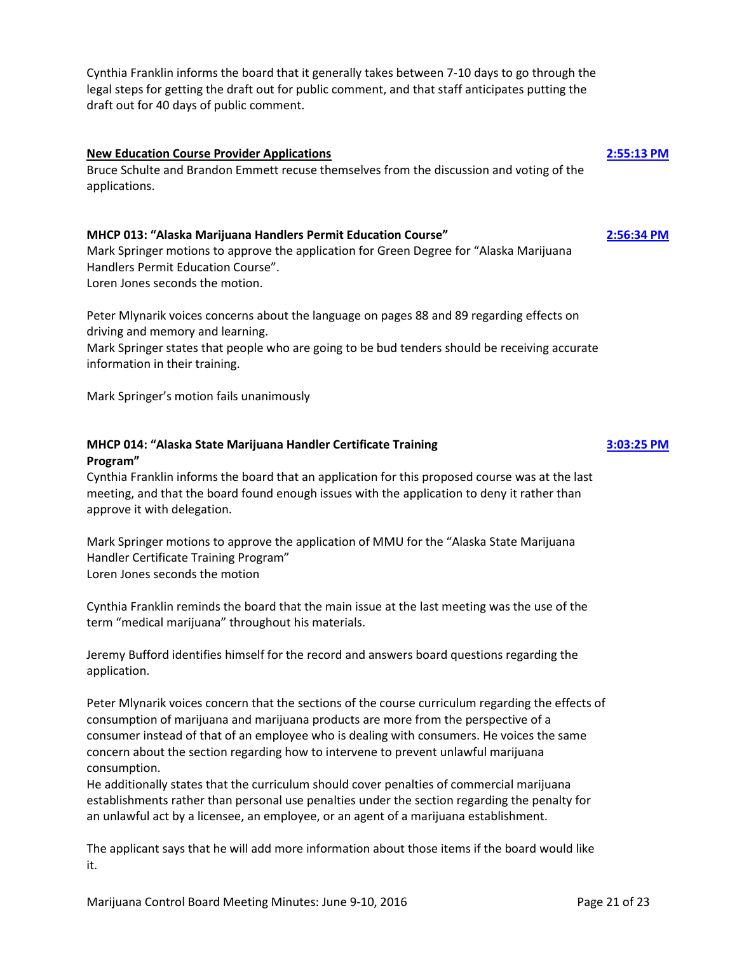Cynthia Franklin informs the board that it generally takes between 7-10 days to go through the legal steps for getting the draft out for public comment, and that staff anticipates putting the draft out for 40 days of public comment.

# **New Education Course Provider Applications [2:55:13 PM](ftr://?location="ABC Board"?date="10-Jun-2016"?position="14:55:13"?Data="ef6ee241")**  Bruce Schulte and Brandon Emmett recuse themselves from the discussion and voting of the applications.

### **MHCP 013: "Alaska Marijuana Handlers Permit Education Course" [2:56:34 PM](ftr://?location="ABC Board"?date="10-Jun-2016"?position="14:56:34"?Data="d446c0f0")**

Mark Springer motions to approve the application for Green Degree for "Alaska Marijuana Handlers Permit Education Course".

Loren Jones seconds the motion.

Peter Mlynarik voices concerns about the language on pages 88 and 89 regarding effects on driving and memory and learning.

Mark Springer states that people who are going to be bud tenders should be receiving accurate information in their training.

Mark Springer's motion fails unanimously

### **MHCP 014: "Alaska State Marijuana Handler Certificate Training [3:03:25 PM](ftr://?location="ABC Board"?date="10-Jun-2016"?position="15:03:25"?Data="774459f5") Program"**

Cynthia Franklin informs the board that an application for this proposed course was at the last meeting, and that the board found enough issues with the application to deny it rather than approve it with delegation.

Mark Springer motions to approve the application of MMU for the "Alaska State Marijuana Handler Certificate Training Program" Loren Jones seconds the motion

Cynthia Franklin reminds the board that the main issue at the last meeting was the use of the term "medical marijuana" throughout his materials.

Jeremy Bufford identifies himself for the record and answers board questions regarding the application.

Peter Mlynarik voices concern that the sections of the course curriculum regarding the effects of consumption of marijuana and marijuana products are more from the perspective of a consumer instead of that of an employee who is dealing with consumers. He voices the same concern about the section regarding how to intervene to prevent unlawful marijuana consumption.

He additionally states that the curriculum should cover penalties of commercial marijuana establishments rather than personal use penalties under the section regarding the penalty for an unlawful act by a licensee, an employee, or an agent of a marijuana establishment.

The applicant says that he will add more information about those items if the board would like it.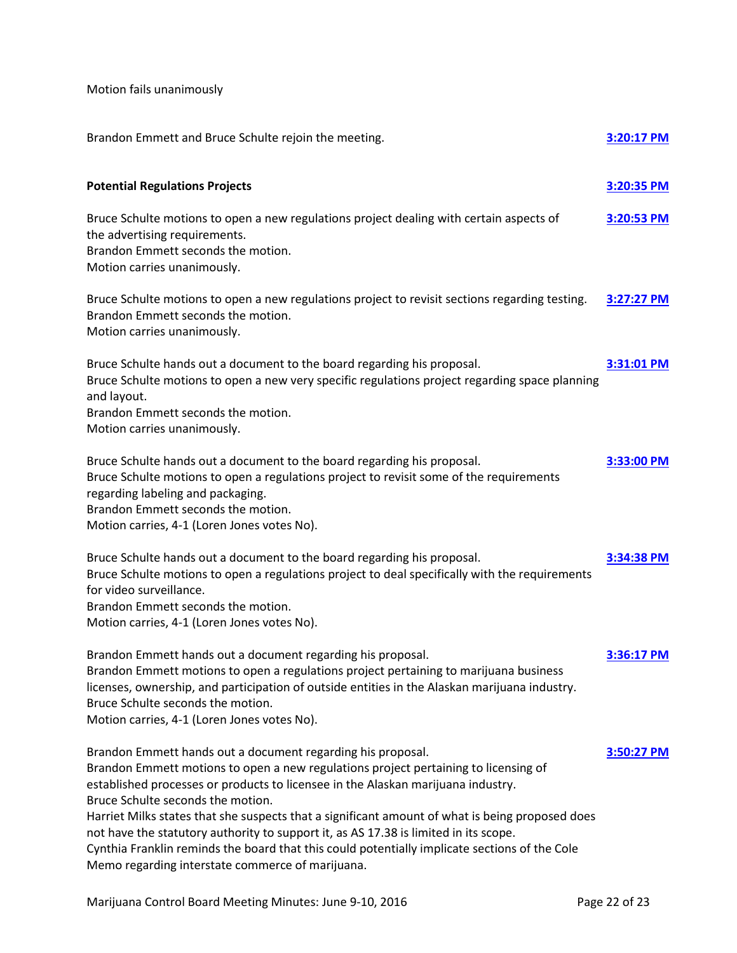Motion fails unanimously

| Brandon Emmett and Bruce Schulte rejoin the meeting.                                                                                                                                                                                                                                                                                                                                                                                                                                                                                                                                                                        | 3:20:17 PM |
|-----------------------------------------------------------------------------------------------------------------------------------------------------------------------------------------------------------------------------------------------------------------------------------------------------------------------------------------------------------------------------------------------------------------------------------------------------------------------------------------------------------------------------------------------------------------------------------------------------------------------------|------------|
| <b>Potential Regulations Projects</b>                                                                                                                                                                                                                                                                                                                                                                                                                                                                                                                                                                                       | 3:20:35 PM |
| Bruce Schulte motions to open a new regulations project dealing with certain aspects of<br>the advertising requirements.<br>Brandon Emmett seconds the motion.<br>Motion carries unanimously.                                                                                                                                                                                                                                                                                                                                                                                                                               | 3:20:53 PM |
| Bruce Schulte motions to open a new regulations project to revisit sections regarding testing.<br>Brandon Emmett seconds the motion.<br>Motion carries unanimously.                                                                                                                                                                                                                                                                                                                                                                                                                                                         | 3:27:27 PM |
| Bruce Schulte hands out a document to the board regarding his proposal.<br>Bruce Schulte motions to open a new very specific regulations project regarding space planning<br>and layout.<br>Brandon Emmett seconds the motion.<br>Motion carries unanimously.                                                                                                                                                                                                                                                                                                                                                               | 3:31:01 PM |
| Bruce Schulte hands out a document to the board regarding his proposal.<br>Bruce Schulte motions to open a regulations project to revisit some of the requirements<br>regarding labeling and packaging.<br>Brandon Emmett seconds the motion.<br>Motion carries, 4-1 (Loren Jones votes No).                                                                                                                                                                                                                                                                                                                                | 3:33:00 PM |
| Bruce Schulte hands out a document to the board regarding his proposal.<br>Bruce Schulte motions to open a regulations project to deal specifically with the requirements<br>for video surveillance.<br>Brandon Emmett seconds the motion.<br>Motion carries, 4-1 (Loren Jones votes No).                                                                                                                                                                                                                                                                                                                                   | 3:34:38 PM |
| Brandon Emmett hands out a document regarding his proposal.<br>Brandon Emmett motions to open a regulations project pertaining to marijuana business<br>licenses, ownership, and participation of outside entities in the Alaskan marijuana industry.<br>Bruce Schulte seconds the motion.<br>Motion carries, 4-1 (Loren Jones votes No).                                                                                                                                                                                                                                                                                   | 3:36:17 PM |
| Brandon Emmett hands out a document regarding his proposal.<br>Brandon Emmett motions to open a new regulations project pertaining to licensing of<br>established processes or products to licensee in the Alaskan marijuana industry.<br>Bruce Schulte seconds the motion.<br>Harriet Milks states that she suspects that a significant amount of what is being proposed does<br>not have the statutory authority to support it, as AS 17.38 is limited in its scope.<br>Cynthia Franklin reminds the board that this could potentially implicate sections of the Cole<br>Memo regarding interstate commerce of marijuana. | 3:50:27 PM |